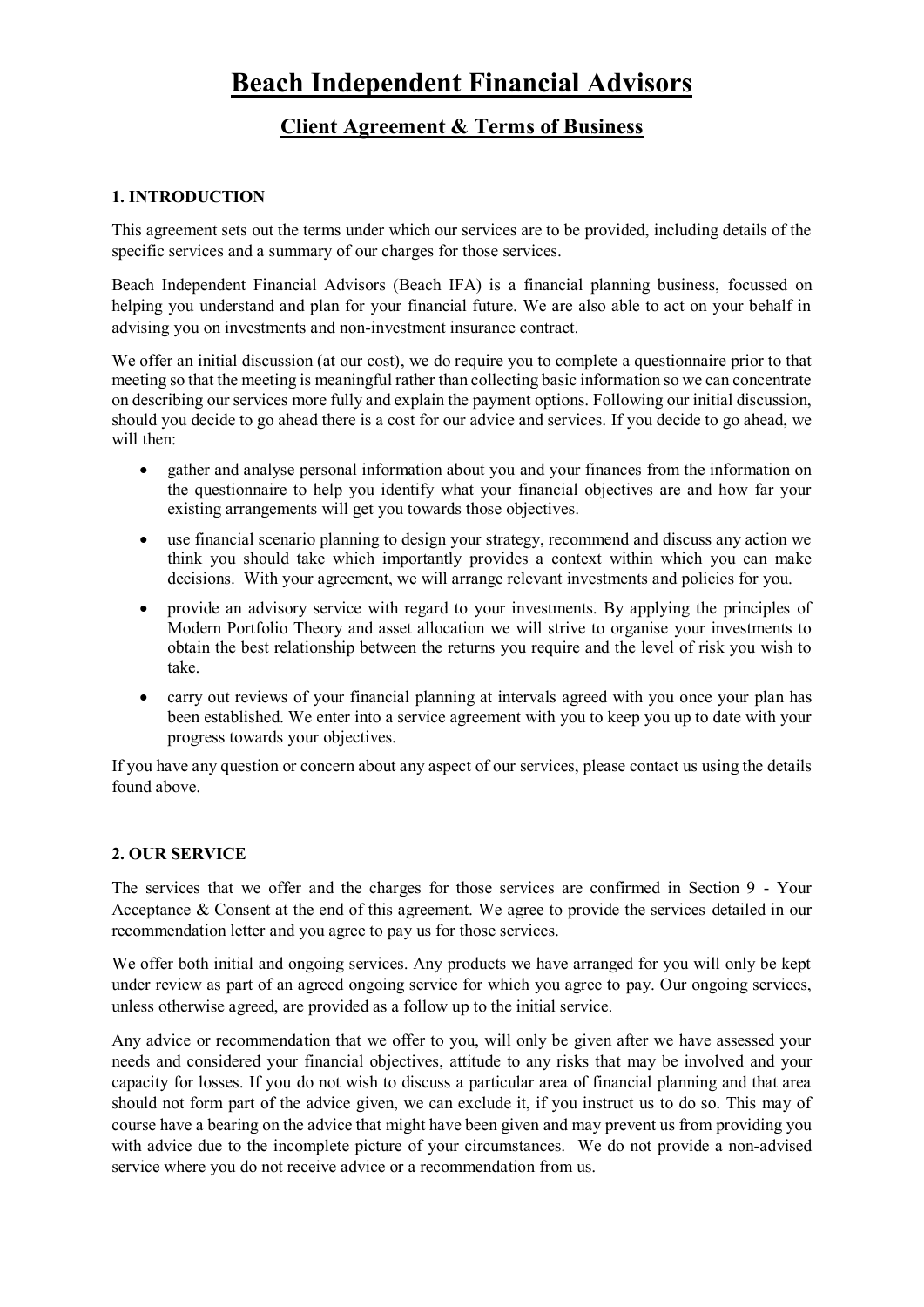# **Beach Independent Financial Advisors**

## **Client Agreement & Terms of Business**

## **1. INTRODUCTION**

This agreement sets out the terms under which our services are to be provided, including details of the specific services and a summary of our charges for those services.

Beach Independent Financial Advisors (Beach IFA) is a financial planning business, focussed on helping you understand and plan for your financial future. We are also able to act on your behalf in advising you on investments and non-investment insurance contract.

We offer an initial discussion (at our cost), we do require you to complete a questionnaire prior to that meeting so that the meeting is meaningful rather than collecting basic information so we can concentrate on describing our services more fully and explain the payment options. Following our initial discussion, should you decide to go ahead there is a cost for our advice and services. If you decide to go ahead, we will then:

- gather and analyse personal information about you and your finances from the information on the questionnaire to help you identify what your financial objectives are and how far your existing arrangements will get you towards those objectives.
- use financial scenario planning to design your strategy, recommend and discuss any action we think you should take which importantly provides a context within which you can make decisions. With your agreement, we will arrange relevant investments and policies for you.
- provide an advisory service with regard to your investments. By applying the principles of Modern Portfolio Theory and asset allocation we will strive to organise your investments to obtain the best relationship between the returns you require and the level of risk you wish to take.
- carry out reviews of your financial planning at intervals agreed with you once your plan has been established. We enter into a service agreement with you to keep you up to date with your progress towards your objectives.

If you have any question or concern about any aspect of our services, please contact us using the details found above.

## **2. OUR SERVICE**

The services that we offer and the charges for those services are confirmed in Section 9 - Your Acceptance & Consent at the end of this agreement. We agree to provide the services detailed in our recommendation letter and you agree to pay us for those services.

We offer both initial and ongoing services. Any products we have arranged for you will only be kept under review as part of an agreed ongoing service for which you agree to pay. Our ongoing services, unless otherwise agreed, are provided as a follow up to the initial service.

Any advice or recommendation that we offer to you, will only be given after we have assessed your needs and considered your financial objectives, attitude to any risks that may be involved and your capacity for losses. If you do not wish to discuss a particular area of financial planning and that area should not form part of the advice given, we can exclude it, if you instruct us to do so. This may of course have a bearing on the advice that might have been given and may prevent us from providing you with advice due to the incomplete picture of your circumstances. We do not provide a non-advised service where you do not receive advice or a recommendation from us.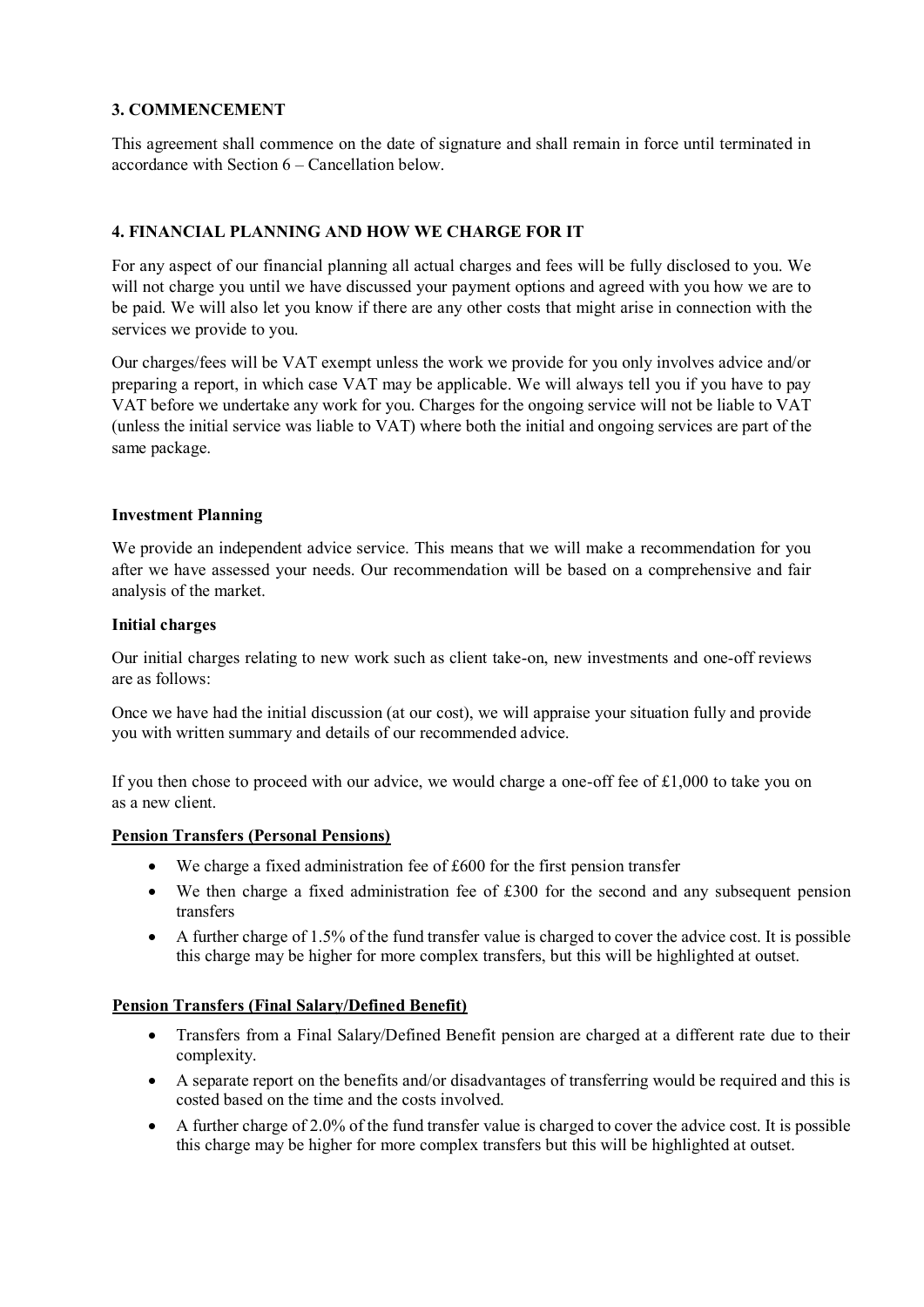## **3. COMMENCEMENT**

This agreement shall commence on the date of signature and shall remain in force until terminated in accordance with Section 6 – Cancellation below.

## **4. FINANCIAL PLANNING AND HOW WE CHARGE FOR IT**

For any aspect of our financial planning all actual charges and fees will be fully disclosed to you. We will not charge you until we have discussed your payment options and agreed with you how we are to be paid. We will also let you know if there are any other costs that might arise in connection with the services we provide to you.

Our charges/fees will be VAT exempt unless the work we provide for you only involves advice and/or preparing a report, in which case VAT may be applicable. We will always tell you if you have to pay VAT before we undertake any work for you. Charges for the ongoing service will not be liable to VAT (unless the initial service was liable to VAT) where both the initial and ongoing services are part of the same package.

#### **Investment Planning**

We provide an independent advice service. This means that we will make a recommendation for you after we have assessed your needs. Our recommendation will be based on a comprehensive and fair analysis of the market.

#### **Initial charges**

Our initial charges relating to new work such as client take-on, new investments and one-off reviews are as follows:

Once we have had the initial discussion (at our cost), we will appraise your situation fully and provide you with written summary and details of our recommended advice.

If you then chose to proceed with our advice, we would charge a one-off fee of £1,000 to take you on as a new client.

#### **Pension Transfers (Personal Pensions)**

- We charge a fixed administration fee of £600 for the first pension transfer
- We then charge a fixed administration fee of £300 for the second and any subsequent pension transfers
- A further charge of  $1.5\%$  of the fund transfer value is charged to cover the advice cost. It is possible this charge may be higher for more complex transfers, but this will be highlighted at outset.

#### **Pension Transfers (Final Salary/Defined Benefit)**

- Transfers from a Final Salary/Defined Benefit pension are charged at a different rate due to their complexity.
- A separate report on the benefits and/or disadvantages of transferring would be required and this is costed based on the time and the costs involved.
- A further charge of 2.0% of the fund transfer value is charged to cover the advice cost. It is possible this charge may be higher for more complex transfers but this will be highlighted at outset.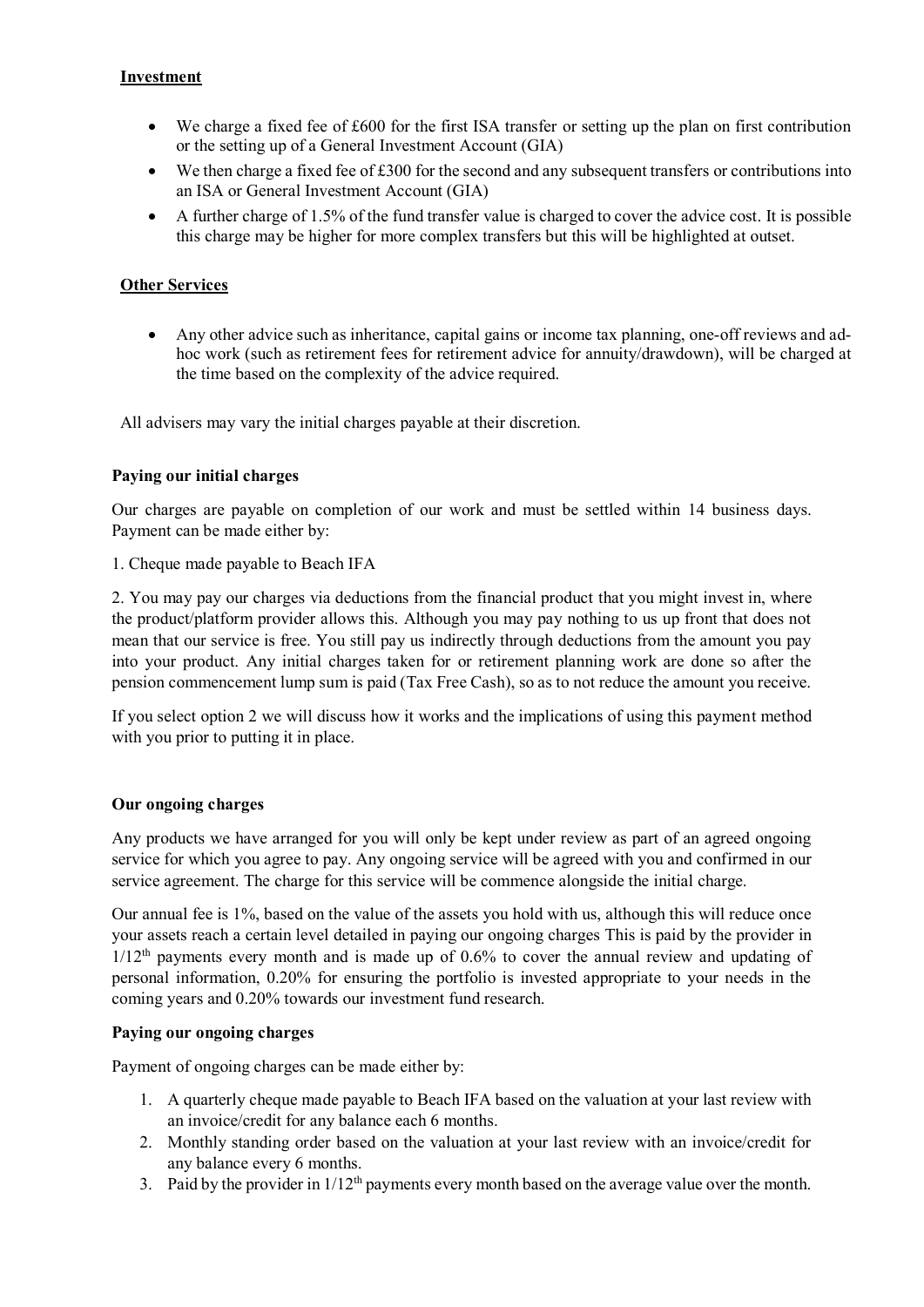## **Investment**

- We charge a fixed fee of £600 for the first ISA transfer or setting up the plan on first contribution or the setting up of a General Investment Account (GIA)
- We then charge a fixed fee of £300 for the second and any subsequent transfers or contributions into an ISA or General Investment Account (GIA)
- A further charge of  $1.5\%$  of the fund transfer value is charged to cover the advice cost. It is possible this charge may be higher for more complex transfers but this will be highlighted at outset.

## **Other Services**

• Any other advice such as inheritance, capital gains or income tax planning, one-off reviews and adhoc work (such as retirement fees for retirement advice for annuity/drawdown), will be charged at the time based on the complexity of the advice required.

All advisers may vary the initial charges payable at their discretion.

#### **Paying our initial charges**

Our charges are payable on completion of our work and must be settled within 14 business days. Payment can be made either by:

1. Cheque made payable to Beach IFA

2. You may pay our charges via deductions from the financial product that you might invest in, where the product/platform provider allows this. Although you may pay nothing to us up front that does not mean that our service is free. You still pay us indirectly through deductions from the amount you pay into your product. Any initial charges taken for or retirement planning work are done so after the pension commencement lump sum is paid (Tax Free Cash), so as to not reduce the amount you receive.

If you select option 2 we will discuss how it works and the implications of using this payment method with you prior to putting it in place.

#### **Our ongoing charges**

Any products we have arranged for you will only be kept under review as part of an agreed ongoing service for which you agree to pay. Any ongoing service will be agreed with you and confirmed in our service agreement. The charge for this service will be commence alongside the initial charge.

Our annual fee is 1%, based on the value of the assets you hold with us, although this will reduce once your assets reach a certain level detailed in paying our ongoing charges This is paid by the provider in  $1/12<sup>th</sup>$  payments every month and is made up of 0.6% to cover the annual review and updating of personal information, 0.20% for ensuring the portfolio is invested appropriate to your needs in the coming years and 0.20% towards our investment fund research.

#### **Paying our ongoing charges**

Payment of ongoing charges can be made either by:

- 1. A quarterly cheque made payable to Beach IFA based on the valuation at your last review with an invoice/credit for any balance each 6 months.
- 2. Monthly standing order based on the valuation at your last review with an invoice/credit for any balance every 6 months.
- 3. Paid by the provider in  $1/12<sup>th</sup>$  payments every month based on the average value over the month.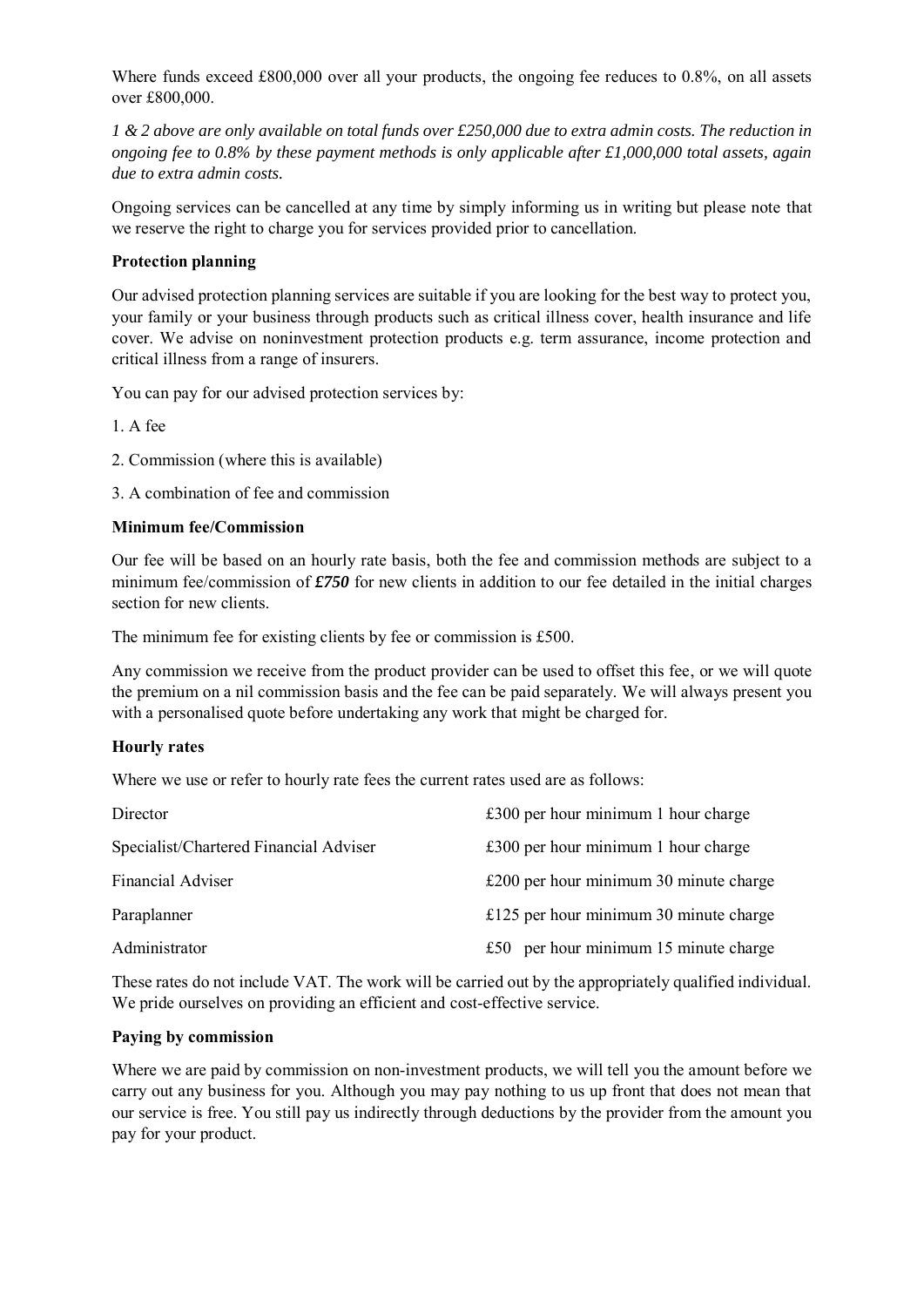Where funds exceed £800,000 over all your products, the ongoing fee reduces to 0.8%, on all assets over £800,000.

*1 & 2 above are only available on total funds over £250,000 due to extra admin costs. The reduction in ongoing fee to 0.8% by these payment methods is only applicable after £1,000,000 total assets, again due to extra admin costs.*

Ongoing services can be cancelled at any time by simply informing us in writing but please note that we reserve the right to charge you for services provided prior to cancellation.

## **Protection planning**

Our advised protection planning services are suitable if you are looking for the best way to protect you, your family or your business through products such as critical illness cover, health insurance and life cover. We advise on noninvestment protection products e.g. term assurance, income protection and critical illness from a range of insurers.

You can pay for our advised protection services by:

1. A fee

2. Commission (where this is available)

3. A combination of fee and commission

#### **Minimum fee/Commission**

Our fee will be based on an hourly rate basis, both the fee and commission methods are subject to a minimum fee/commission of *£750* for new clients in addition to our fee detailed in the initial charges section for new clients.

The minimum fee for existing clients by fee or commission is £500.

Any commission we receive from the product provider can be used to offset this fee, or we will quote the premium on a nil commission basis and the fee can be paid separately. We will always present you with a personalised quote before undertaking any work that might be charged for.

#### **Hourly rates**

Where we use or refer to hourly rate fees the current rates used are as follows:

| $£300$ per hour minimum 1 hour charge    |
|------------------------------------------|
| $£300$ per hour minimum 1 hour charge    |
| $£200$ per hour minimum 30 minute charge |
| £125 per hour minimum 30 minute charge   |
| £50 per hour minimum $15$ minute charge  |
|                                          |

These rates do not include VAT. The work will be carried out by the appropriately qualified individual. We pride ourselves on providing an efficient and cost-effective service.

#### **Paying by commission**

Where we are paid by commission on non-investment products, we will tell you the amount before we carry out any business for you. Although you may pay nothing to us up front that does not mean that our service is free. You still pay us indirectly through deductions by the provider from the amount you pay for your product.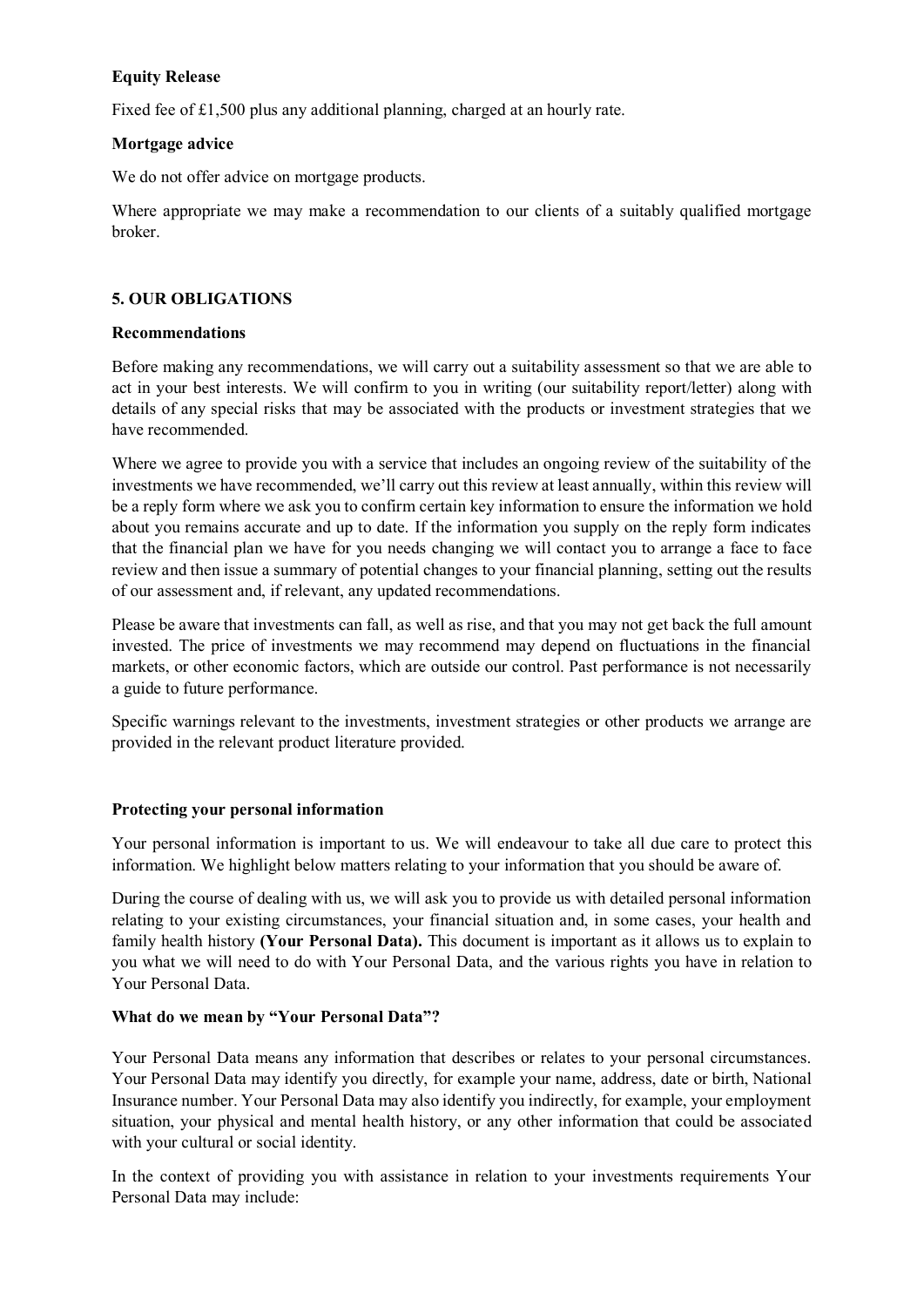## **Equity Release**

Fixed fee of £1,500 plus any additional planning, charged at an hourly rate.

## **Mortgage advice**

We do not offer advice on mortgage products.

Where appropriate we may make a recommendation to our clients of a suitably qualified mortgage broker.

## **5. OUR OBLIGATIONS**

#### **Recommendations**

Before making any recommendations, we will carry out a suitability assessment so that we are able to act in your best interests. We will confirm to you in writing (our suitability report/letter) along with details of any special risks that may be associated with the products or investment strategies that we have recommended.

Where we agree to provide you with a service that includes an ongoing review of the suitability of the investments we have recommended, we'll carry out this review at least annually, within this review will be a reply form where we ask you to confirm certain key information to ensure the information we hold about you remains accurate and up to date. If the information you supply on the reply form indicates that the financial plan we have for you needs changing we will contact you to arrange a face to face review and then issue a summary of potential changes to your financial planning, setting out the results of our assessment and, if relevant, any updated recommendations.

Please be aware that investments can fall, as well as rise, and that you may not get back the full amount invested. The price of investments we may recommend may depend on fluctuations in the financial markets, or other economic factors, which are outside our control. Past performance is not necessarily a guide to future performance.

Specific warnings relevant to the investments, investment strategies or other products we arrange are provided in the relevant product literature provided.

## **Protecting your personal information**

Your personal information is important to us. We will endeavour to take all due care to protect this information. We highlight below matters relating to your information that you should be aware of.

During the course of dealing with us, we will ask you to provide us with detailed personal information relating to your existing circumstances, your financial situation and, in some cases, your health and family health history **(Your Personal Data).** This document is important as it allows us to explain to you what we will need to do with Your Personal Data, and the various rights you have in relation to Your Personal Data.

## **What do we mean by "Your Personal Data"?**

Your Personal Data means any information that describes or relates to your personal circumstances. Your Personal Data may identify you directly, for example your name, address, date or birth, National Insurance number. Your Personal Data may also identify you indirectly, for example, your employment situation, your physical and mental health history, or any other information that could be associated with your cultural or social identity.

In the context of providing you with assistance in relation to your investments requirements Your Personal Data may include: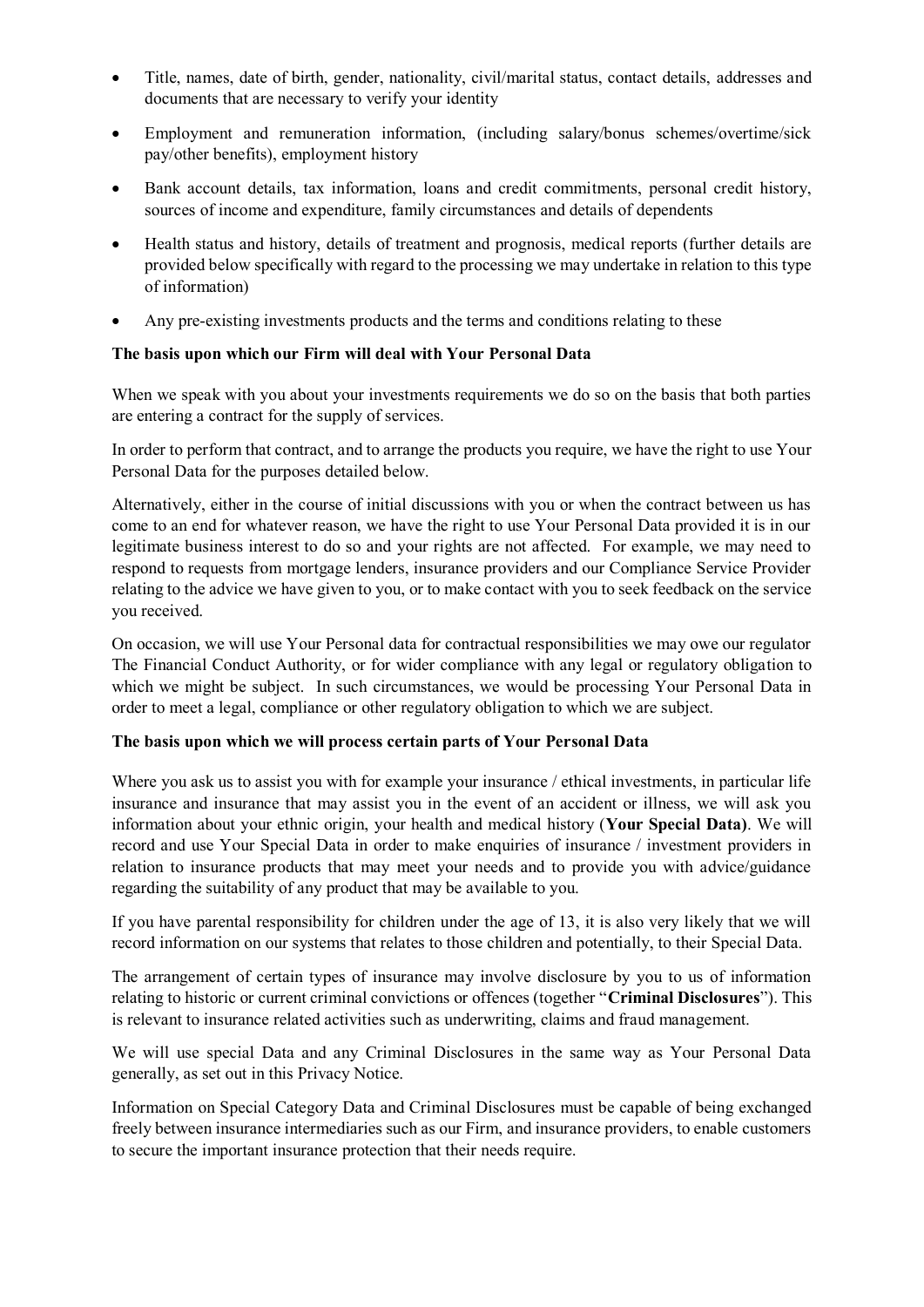- Title, names, date of birth, gender, nationality, civil/marital status, contact details, addresses and documents that are necessary to verify your identity
- Employment and remuneration information, (including salary/bonus schemes/overtime/sick pay/other benefits), employment history
- Bank account details, tax information, loans and credit commitments, personal credit history, sources of income and expenditure, family circumstances and details of dependents
- Health status and history, details of treatment and prognosis, medical reports (further details are provided below specifically with regard to the processing we may undertake in relation to this type of information)
- Any pre-existing investments products and the terms and conditions relating to these

#### **The basis upon which our Firm will deal with Your Personal Data**

When we speak with you about your investments requirements we do so on the basis that both parties are entering a contract for the supply of services.

In order to perform that contract, and to arrange the products you require, we have the right to use Your Personal Data for the purposes detailed below.

Alternatively, either in the course of initial discussions with you or when the contract between us has come to an end for whatever reason, we have the right to use Your Personal Data provided it is in our legitimate business interest to do so and your rights are not affected. For example, we may need to respond to requests from mortgage lenders, insurance providers and our Compliance Service Provider relating to the advice we have given to you, or to make contact with you to seek feedback on the service you received.

On occasion, we will use Your Personal data for contractual responsibilities we may owe our regulator The Financial Conduct Authority, or for wider compliance with any legal or regulatory obligation to which we might be subject. In such circumstances, we would be processing Your Personal Data in order to meet a legal, compliance or other regulatory obligation to which we are subject.

#### **The basis upon which we will process certain parts of Your Personal Data**

Where you ask us to assist you with for example your insurance / ethical investments, in particular life insurance and insurance that may assist you in the event of an accident or illness, we will ask you information about your ethnic origin, your health and medical history (**Your Special Data)**. We will record and use Your Special Data in order to make enquiries of insurance / investment providers in relation to insurance products that may meet your needs and to provide you with advice/guidance regarding the suitability of any product that may be available to you.

If you have parental responsibility for children under the age of 13, it is also very likely that we will record information on our systems that relates to those children and potentially, to their Special Data.

The arrangement of certain types of insurance may involve disclosure by you to us of information relating to historic or current criminal convictions or offences (together "**Criminal Disclosures**"). This is relevant to insurance related activities such as underwriting, claims and fraud management.

We will use special Data and any Criminal Disclosures in the same way as Your Personal Data generally, as set out in this Privacy Notice.

Information on Special Category Data and Criminal Disclosures must be capable of being exchanged freely between insurance intermediaries such as our Firm, and insurance providers, to enable customers to secure the important insurance protection that their needs require.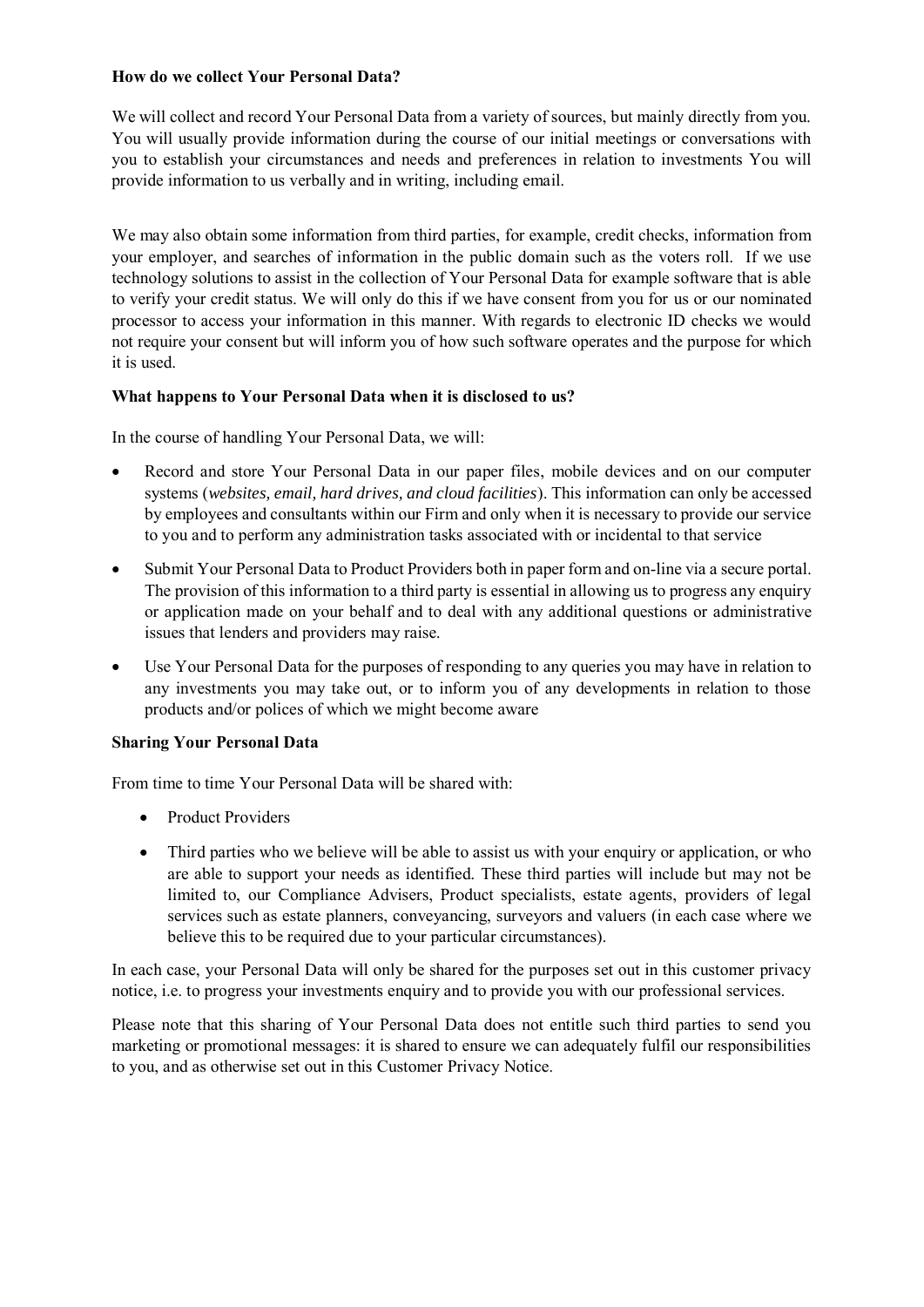## **How do we collect Your Personal Data?**

We will collect and record Your Personal Data from a variety of sources, but mainly directly from you. You will usually provide information during the course of our initial meetings or conversations with you to establish your circumstances and needs and preferences in relation to investments You will provide information to us verbally and in writing, including email.

We may also obtain some information from third parties, for example, credit checks, information from your employer, and searches of information in the public domain such as the voters roll. If we use technology solutions to assist in the collection of Your Personal Data for example software that is able to verify your credit status. We will only do this if we have consent from you for us or our nominated processor to access your information in this manner. With regards to electronic ID checks we would not require your consent but will inform you of how such software operates and the purpose for which it is used.

## **What happens to Your Personal Data when it is disclosed to us?**

In the course of handling Your Personal Data, we will:

- Record and store Your Personal Data in our paper files, mobile devices and on our computer systems (*websites, email, hard drives, and cloud facilities*). This information can only be accessed by employees and consultants within our Firm and only when it is necessary to provide our service to you and to perform any administration tasks associated with or incidental to that service
- Submit Your Personal Data to Product Providers both in paper form and on-line via a secure portal. The provision of this information to a third party is essential in allowing us to progress any enquiry or application made on your behalf and to deal with any additional questions or administrative issues that lenders and providers may raise.
- Use Your Personal Data for the purposes of responding to any queries you may have in relation to any investments you may take out, or to inform you of any developments in relation to those products and/or polices of which we might become aware

## **Sharing Your Personal Data**

From time to time Your Personal Data will be shared with:

- Product Providers
- Third parties who we believe will be able to assist us with your enquiry or application, or who are able to support your needs as identified. These third parties will include but may not be limited to, our Compliance Advisers, Product specialists, estate agents, providers of legal services such as estate planners, conveyancing, surveyors and valuers (in each case where we believe this to be required due to your particular circumstances).

In each case, your Personal Data will only be shared for the purposes set out in this customer privacy notice, i.e. to progress your investments enquiry and to provide you with our professional services.

Please note that this sharing of Your Personal Data does not entitle such third parties to send you marketing or promotional messages: it is shared to ensure we can adequately fulfil our responsibilities to you, and as otherwise set out in this Customer Privacy Notice.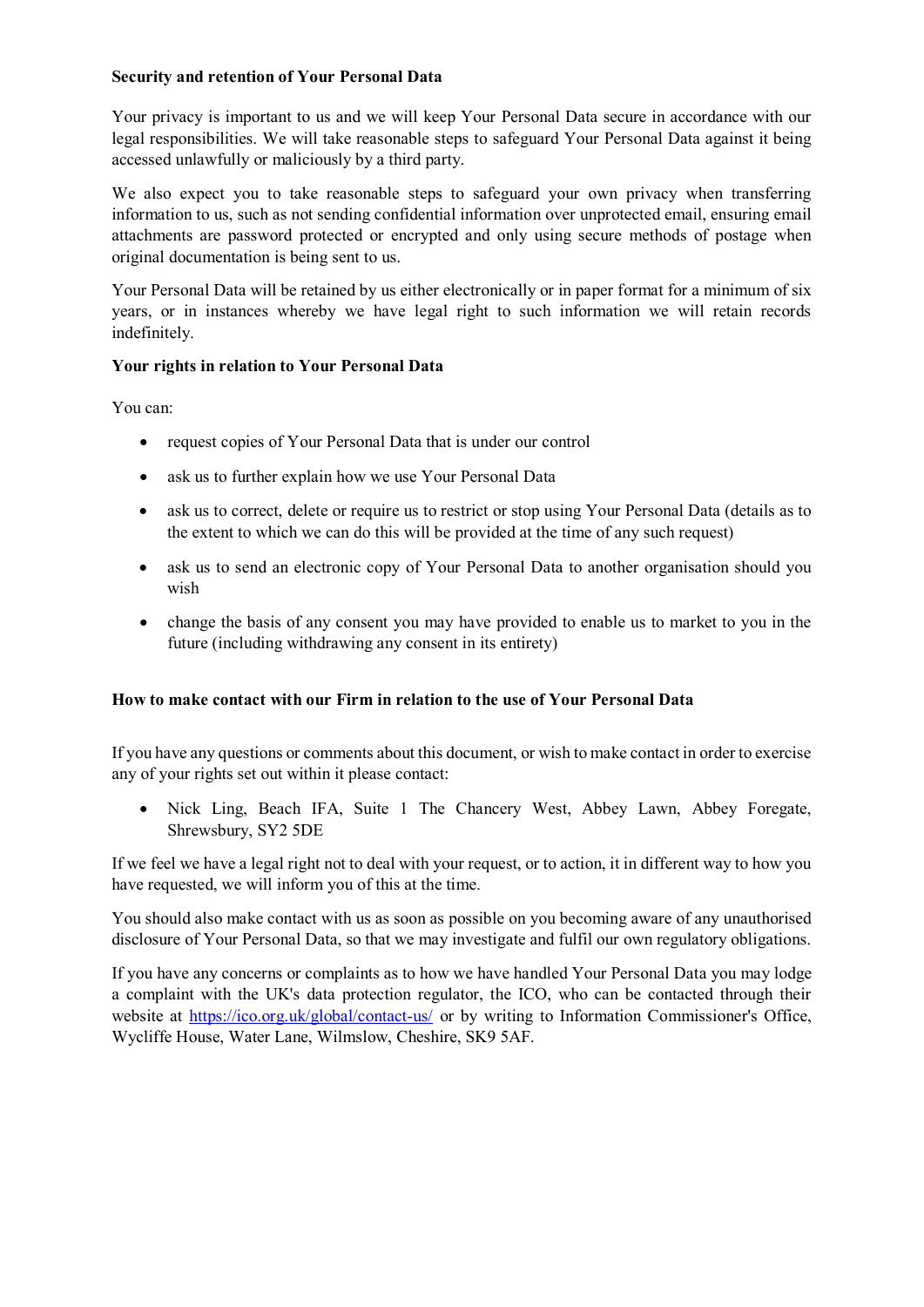## **Security and retention of Your Personal Data**

Your privacy is important to us and we will keep Your Personal Data secure in accordance with our legal responsibilities. We will take reasonable steps to safeguard Your Personal Data against it being accessed unlawfully or maliciously by a third party.

We also expect you to take reasonable steps to safeguard your own privacy when transferring information to us, such as not sending confidential information over unprotected email, ensuring email attachments are password protected or encrypted and only using secure methods of postage when original documentation is being sent to us.

Your Personal Data will be retained by us either electronically or in paper format for a minimum of six years, or in instances whereby we have legal right to such information we will retain records indefinitely.

## **Your rights in relation to Your Personal Data**

You can:

- request copies of Your Personal Data that is under our control
- ask us to further explain how we use Your Personal Data
- ask us to correct, delete or require us to restrict or stop using Your Personal Data (details as to the extent to which we can do this will be provided at the time of any such request)
- ask us to send an electronic copy of Your Personal Data to another organisation should you wish
- change the basis of any consent you may have provided to enable us to market to you in the future (including withdrawing any consent in its entirety)

## **How to make contact with our Firm in relation to the use of Your Personal Data**

If you have any questions or comments about this document, or wish to make contact in order to exercise any of your rights set out within it please contact:

• Nick Ling, Beach IFA, Suite 1 The Chancery West, Abbey Lawn, Abbey Foregate, Shrewsbury, SY2 5DE

If we feel we have a legal right not to deal with your request, or to action, it in different way to how you have requested, we will inform you of this at the time.

You should also make contact with us as soon as possible on you becoming aware of any unauthorised disclosure of Your Personal Data, so that we may investigate and fulfil our own regulatory obligations.

If you have any concerns or complaints as to how we have handled Your Personal Data you may lodge a complaint with the UK's data protection regulator, the ICO, who can be contacted through their website at<https://ico.org.uk/global/contact-us/> or by writing to Information Commissioner's Office, Wycliffe House, Water Lane, Wilmslow, Cheshire, SK9 5AF.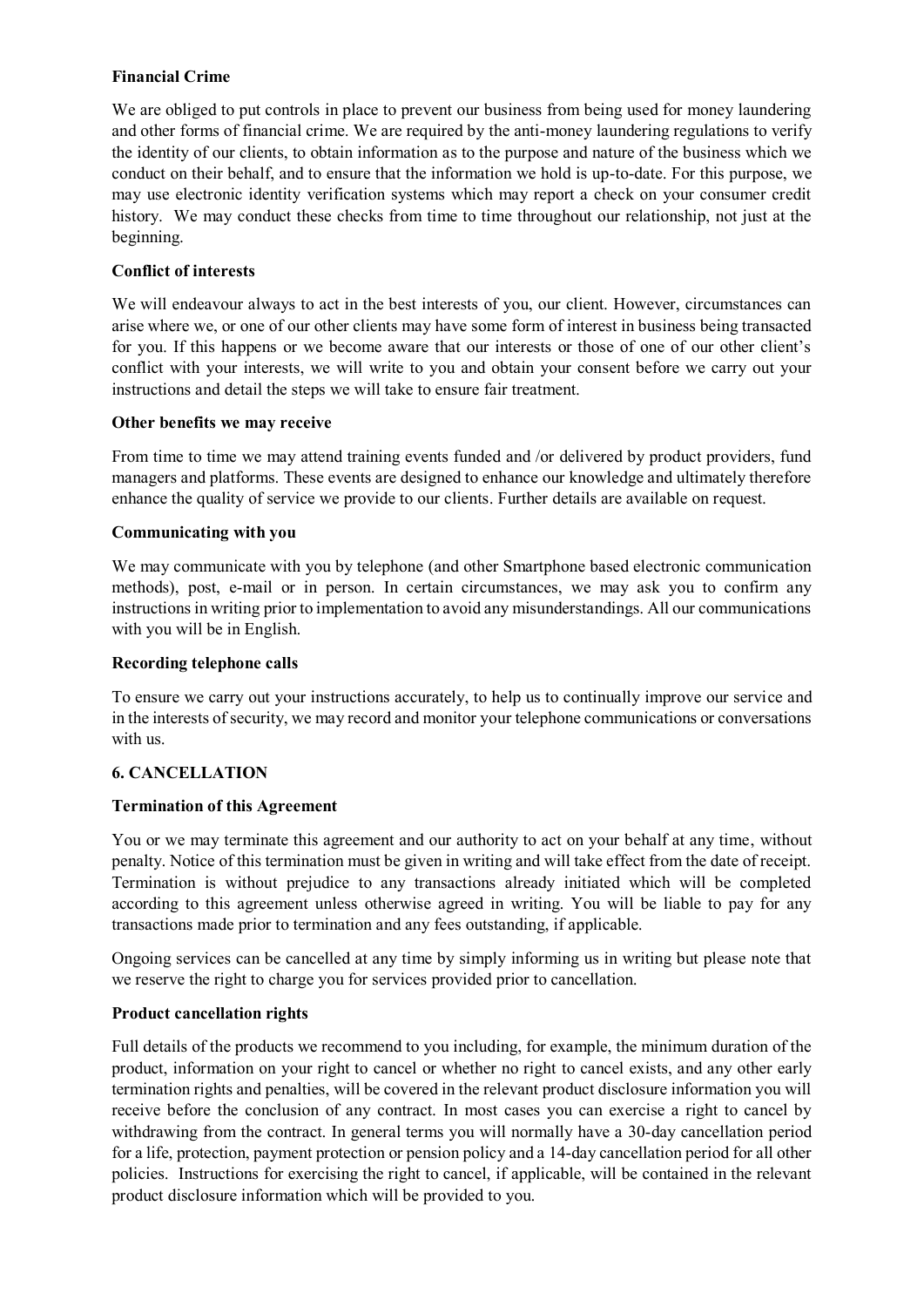## **Financial Crime**

We are obliged to put controls in place to prevent our business from being used for money laundering and other forms of financial crime. We are required by the anti-money laundering regulations to verify the identity of our clients, to obtain information as to the purpose and nature of the business which we conduct on their behalf, and to ensure that the information we hold is up-to-date. For this purpose, we may use electronic identity verification systems which may report a check on your consumer credit history. We may conduct these checks from time to time throughout our relationship, not just at the beginning.

## **Conflict of interests**

We will endeavour always to act in the best interests of you, our client. However, circumstances can arise where we, or one of our other clients may have some form of interest in business being transacted for you. If this happens or we become aware that our interests or those of one of our other client's conflict with your interests, we will write to you and obtain your consent before we carry out your instructions and detail the steps we will take to ensure fair treatment.

## **Other benefits we may receive**

From time to time we may attend training events funded and /or delivered by product providers, fund managers and platforms. These events are designed to enhance our knowledge and ultimately therefore enhance the quality of service we provide to our clients. Further details are available on request.

#### **Communicating with you**

We may communicate with you by telephone (and other Smartphone based electronic communication methods), post, e-mail or in person. In certain circumstances, we may ask you to confirm any instructions in writing prior to implementation to avoid any misunderstandings. All our communications with you will be in English.

#### **Recording telephone calls**

To ensure we carry out your instructions accurately, to help us to continually improve our service and in the interests of security, we may record and monitor your telephone communications or conversations with us.

## **6. CANCELLATION**

#### **Termination of this Agreement**

You or we may terminate this agreement and our authority to act on your behalf at any time, without penalty. Notice of this termination must be given in writing and will take effect from the date of receipt. Termination is without prejudice to any transactions already initiated which will be completed according to this agreement unless otherwise agreed in writing. You will be liable to pay for any transactions made prior to termination and any fees outstanding, if applicable.

Ongoing services can be cancelled at any time by simply informing us in writing but please note that we reserve the right to charge you for services provided prior to cancellation.

#### **Product cancellation rights**

Full details of the products we recommend to you including, for example, the minimum duration of the product, information on your right to cancel or whether no right to cancel exists, and any other early termination rights and penalties, will be covered in the relevant product disclosure information you will receive before the conclusion of any contract. In most cases you can exercise a right to cancel by withdrawing from the contract. In general terms you will normally have a 30-day cancellation period for a life, protection, payment protection or pension policy and a 14-day cancellation period for all other policies. Instructions for exercising the right to cancel, if applicable, will be contained in the relevant product disclosure information which will be provided to you.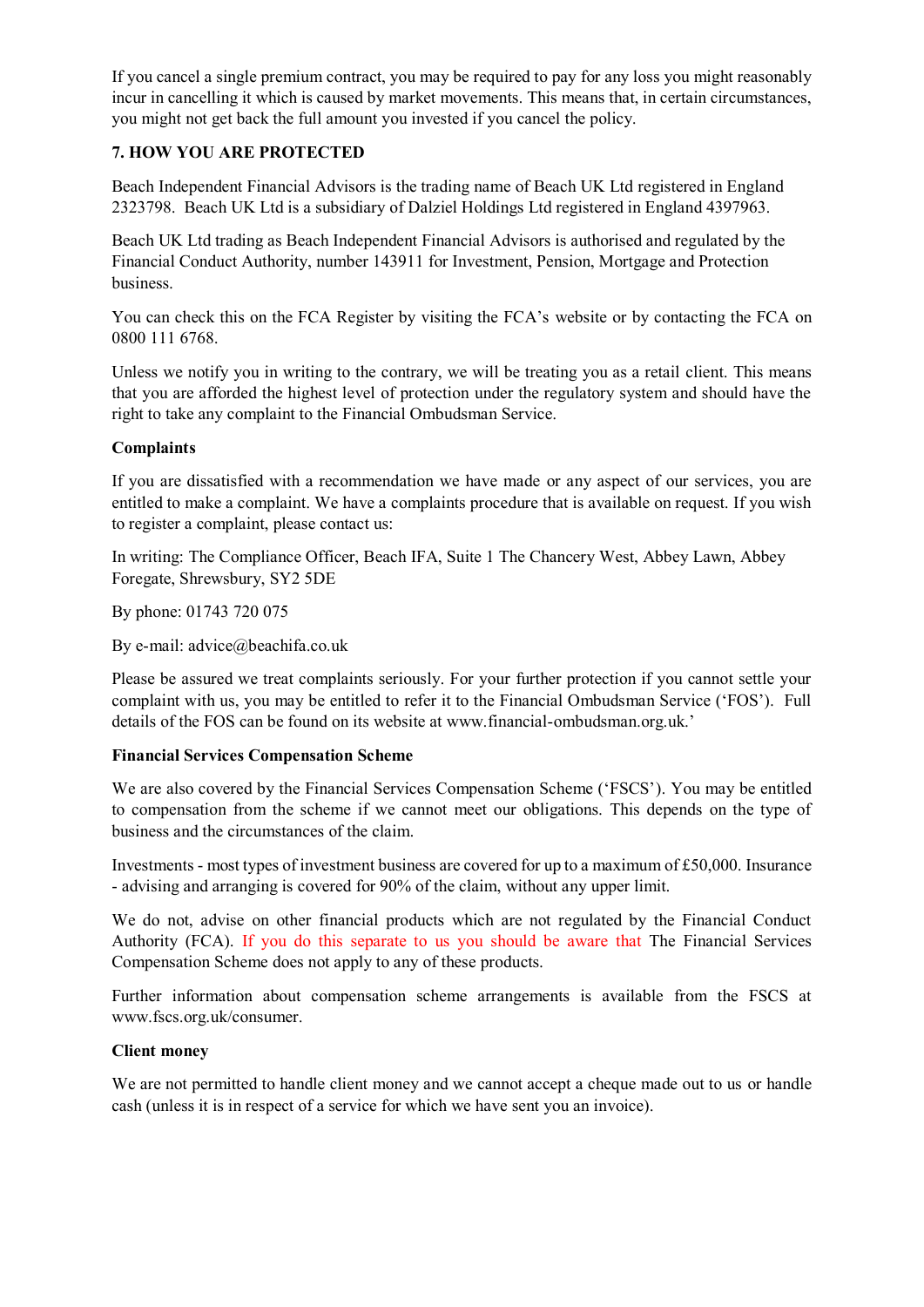If you cancel a single premium contract, you may be required to pay for any loss you might reasonably incur in cancelling it which is caused by market movements. This means that, in certain circumstances, you might not get back the full amount you invested if you cancel the policy.

## **7. HOW YOU ARE PROTECTED**

Beach Independent Financial Advisors is the trading name of Beach UK Ltd registered in England 2323798. Beach UK Ltd is a subsidiary of Dalziel Holdings Ltd registered in England 4397963.

Beach UK Ltd trading as Beach Independent Financial Advisors is authorised and regulated by the Financial Conduct Authority, number 143911 for Investment, Pension, Mortgage and Protection business.

You can check this on the FCA Register by visiting the FCA's website or by contacting the FCA on 0800 111 6768.

Unless we notify you in writing to the contrary, we will be treating you as a retail client. This means that you are afforded the highest level of protection under the regulatory system and should have the right to take any complaint to the Financial Ombudsman Service.

#### **Complaints**

If you are dissatisfied with a recommendation we have made or any aspect of our services, you are entitled to make a complaint. We have a complaints procedure that is available on request. If you wish to register a complaint, please contact us:

In writing: The Compliance Officer, Beach IFA, Suite 1 The Chancery West, Abbey Lawn, Abbey Foregate, Shrewsbury, SY2 5DE

By phone: 01743 720 075

By e-mail: advice@beachifa.co.uk

Please be assured we treat complaints seriously. For your further protection if you cannot settle your complaint with us, you may be entitled to refer it to the Financial Ombudsman Service ('FOS'). Full details of the FOS can be found on its website at www.financial-ombudsman.org.uk.'

#### **Financial Services Compensation Scheme**

We are also covered by the Financial Services Compensation Scheme ('FSCS'). You may be entitled to compensation from the scheme if we cannot meet our obligations. This depends on the type of business and the circumstances of the claim.

Investments - most types of investment business are covered for up to a maximum of £50,000. Insurance - advising and arranging is covered for 90% of the claim, without any upper limit.

We do not, advise on other financial products which are not regulated by the Financial Conduct Authority (FCA). If you do this separate to us you should be aware that The Financial Services Compensation Scheme does not apply to any of these products.

Further information about compensation scheme arrangements is available from the FSCS at www.fscs.org.uk/consumer.

#### **Client money**

We are not permitted to handle client money and we cannot accept a cheque made out to us or handle cash (unless it is in respect of a service for which we have sent you an invoice).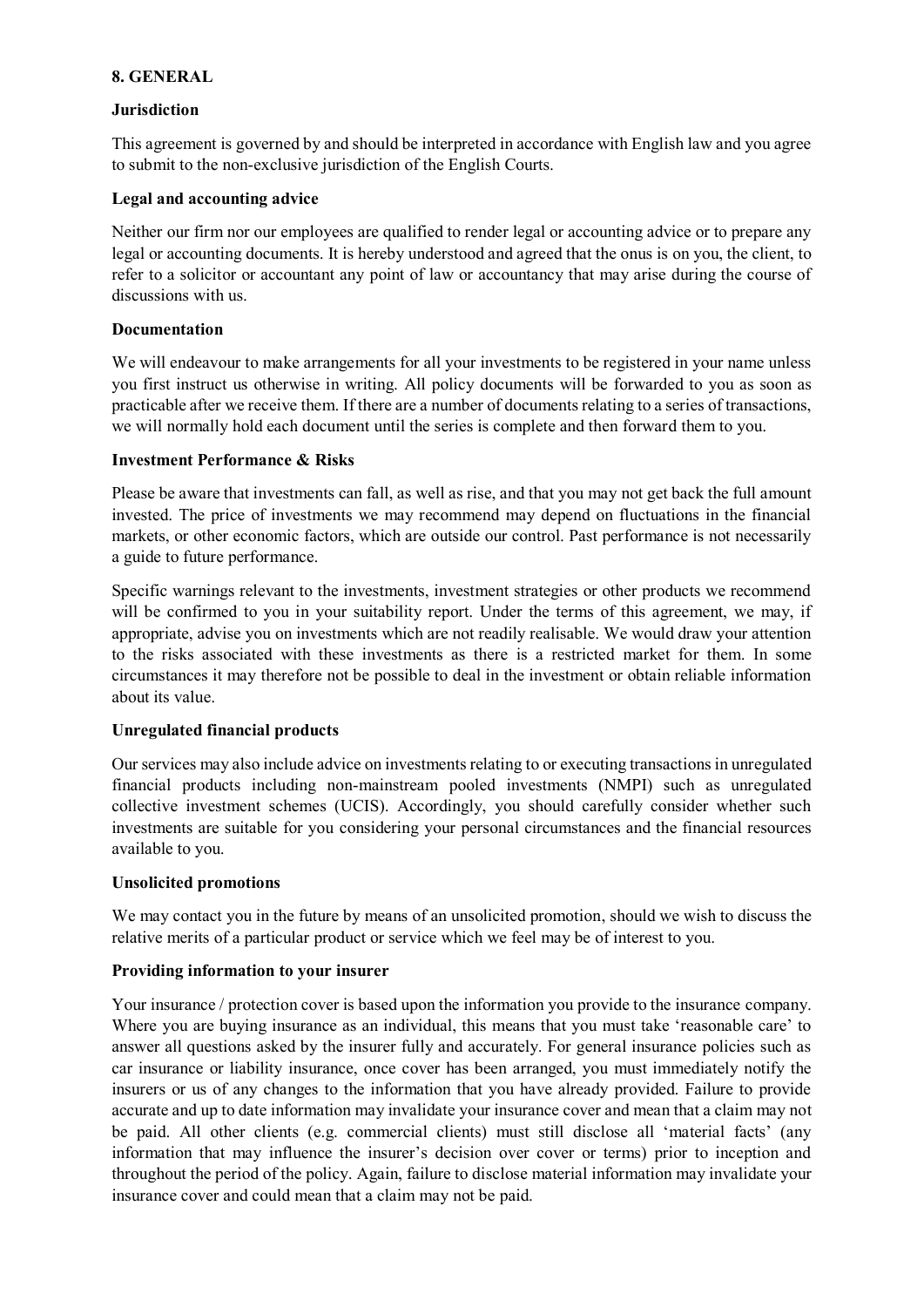## **8. GENERAL**

#### **Jurisdiction**

This agreement is governed by and should be interpreted in accordance with English law and you agree to submit to the non-exclusive jurisdiction of the English Courts.

#### **Legal and accounting advice**

Neither our firm nor our employees are qualified to render legal or accounting advice or to prepare any legal or accounting documents. It is hereby understood and agreed that the onus is on you, the client, to refer to a solicitor or accountant any point of law or accountancy that may arise during the course of discussions with us.

#### **Documentation**

We will endeavour to make arrangements for all your investments to be registered in your name unless you first instruct us otherwise in writing. All policy documents will be forwarded to you as soon as practicable after we receive them. If there are a number of documents relating to a series of transactions, we will normally hold each document until the series is complete and then forward them to you.

#### **Investment Performance & Risks**

Please be aware that investments can fall, as well as rise, and that you may not get back the full amount invested. The price of investments we may recommend may depend on fluctuations in the financial markets, or other economic factors, which are outside our control. Past performance is not necessarily a guide to future performance.

Specific warnings relevant to the investments, investment strategies or other products we recommend will be confirmed to you in your suitability report. Under the terms of this agreement, we may, if appropriate, advise you on investments which are not readily realisable. We would draw your attention to the risks associated with these investments as there is a restricted market for them. In some circumstances it may therefore not be possible to deal in the investment or obtain reliable information about its value.

#### **Unregulated financial products**

Our services may also include advice on investments relating to or executing transactions in unregulated financial products including non-mainstream pooled investments (NMPI) such as unregulated collective investment schemes (UCIS). Accordingly, you should carefully consider whether such investments are suitable for you considering your personal circumstances and the financial resources available to you.

#### **Unsolicited promotions**

We may contact you in the future by means of an unsolicited promotion, should we wish to discuss the relative merits of a particular product or service which we feel may be of interest to you.

#### **Providing information to your insurer**

Your insurance / protection cover is based upon the information you provide to the insurance company. Where you are buying insurance as an individual, this means that you must take 'reasonable care' to answer all questions asked by the insurer fully and accurately. For general insurance policies such as car insurance or liability insurance, once cover has been arranged, you must immediately notify the insurers or us of any changes to the information that you have already provided. Failure to provide accurate and up to date information may invalidate your insurance cover and mean that a claim may not be paid. All other clients (e.g. commercial clients) must still disclose all 'material facts' (any information that may influence the insurer's decision over cover or terms) prior to inception and throughout the period of the policy. Again, failure to disclose material information may invalidate your insurance cover and could mean that a claim may not be paid.